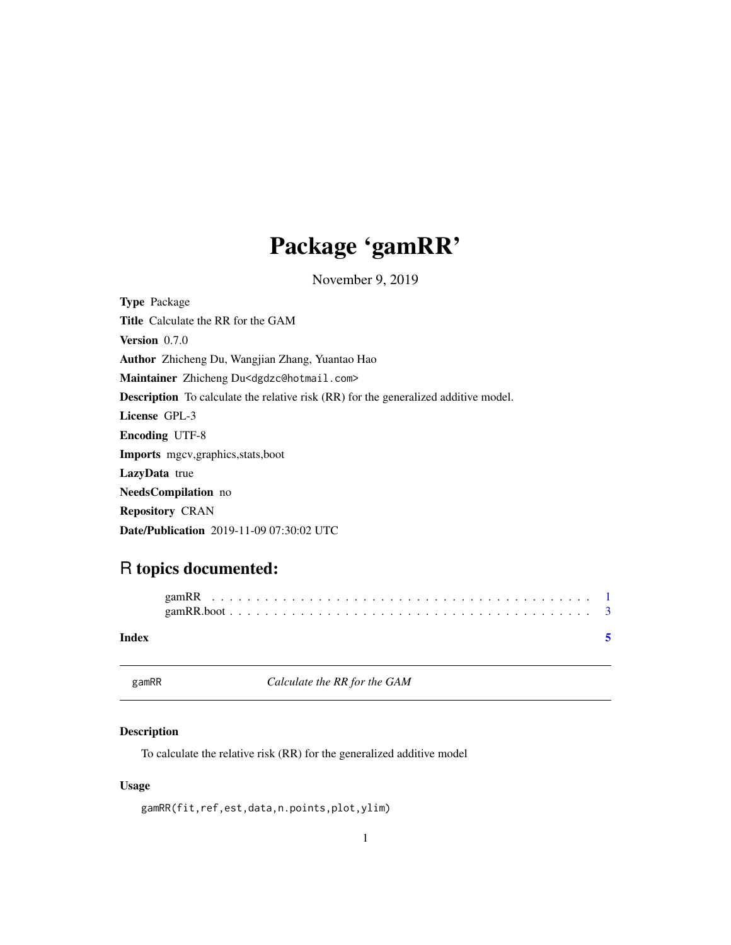## <span id="page-0-0"></span>Package 'gamRR'

November 9, 2019

Type Package Title Calculate the RR for the GAM Version 0.7.0 Author Zhicheng Du, Wangjian Zhang, Yuantao Hao Maintainer Zhicheng Du<dgdzc@hotmail.com> Description To calculate the relative risk (RR) for the generalized additive model. License GPL-3 Encoding UTF-8 Imports mgcv,graphics,stats,boot LazyData true NeedsCompilation no Repository CRAN Date/Publication 2019-11-09 07:30:02 UTC

### R topics documented:

| Index |  |  |  |  |  |  |  |  |  |  |  |  |  |  |  |  |  |
|-------|--|--|--|--|--|--|--|--|--|--|--|--|--|--|--|--|--|

<span id="page-0-1"></span>gamRR *Calculate the RR for the GAM*

#### Description

To calculate the relative risk (RR) for the generalized additive model

#### Usage

gamRR(fit,ref,est,data,n.points,plot,ylim)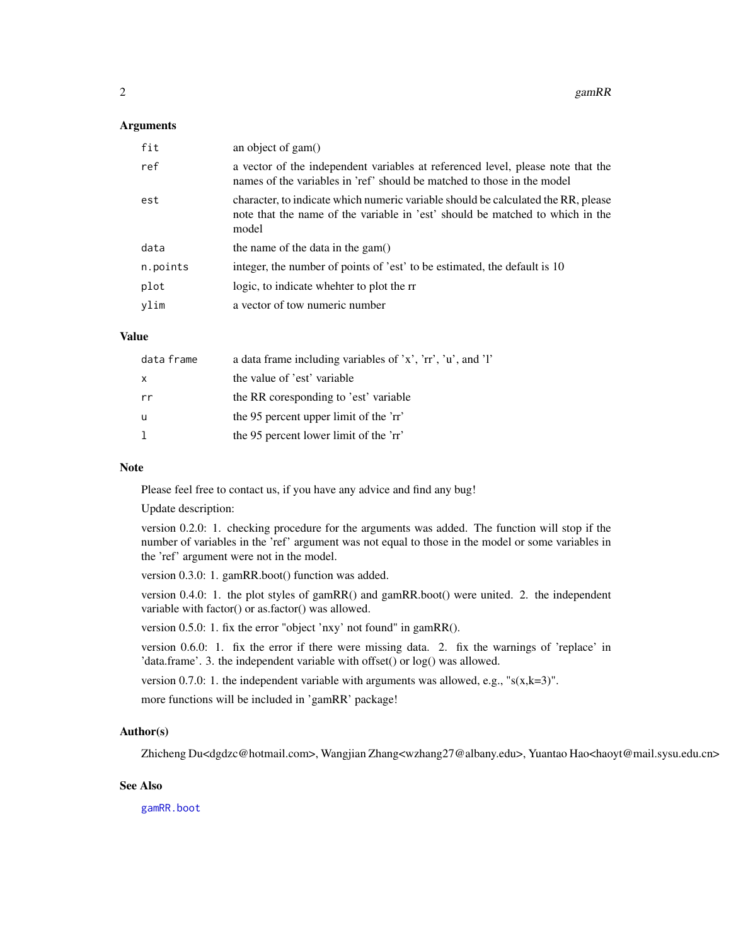#### <span id="page-1-0"></span>Arguments

| fit      | an object of gam()                                                                                                                                                          |
|----------|-----------------------------------------------------------------------------------------------------------------------------------------------------------------------------|
| ref      | a vector of the independent variables at referenced level, please note that the<br>names of the variables in 'ref' should be matched to those in the model                  |
| est      | character, to indicate which numeric variable should be calculated the RR, please<br>note that the name of the variable in 'est' should be matched to which in the<br>model |
| data     | the name of the data in the gam $()$                                                                                                                                        |
| n.points | integer, the number of points of 'est' to be estimated, the default is 10                                                                                                   |
| plot     | logic, to indicate whehter to plot the rr                                                                                                                                   |
| vlim     | a vector of tow numeric number                                                                                                                                              |

#### Value

| data frame   | a data frame including variables of 'x', 'rr', 'u', and 'l' |
|--------------|-------------------------------------------------------------|
| $\mathsf{x}$ | the value of 'est' variable                                 |
| rr           | the RR coresponding to 'est' variable                       |
| u            | the 95 percent upper limit of the 'rr'                      |
| -1           | the 95 percent lower limit of the 'rr'                      |

#### Note

Please feel free to contact us, if you have any advice and find any bug!

Update description:

version 0.2.0: 1. checking procedure for the arguments was added. The function will stop if the number of variables in the 'ref' argument was not equal to those in the model or some variables in the 'ref' argument were not in the model.

version 0.3.0: 1. gamRR.boot() function was added.

version 0.4.0: 1. the plot styles of gamRR() and gamRR.boot() were united. 2. the independent variable with factor() or as.factor() was allowed.

version 0.5.0: 1. fix the error "object 'nxy' not found" in gamRR().

version 0.6.0: 1. fix the error if there were missing data. 2. fix the warnings of 'replace' in 'data.frame'. 3. the independent variable with offset() or log() was allowed.

version 0.7.0: 1. the independent variable with arguments was allowed, e.g., " $s(x,k=3)$ ".

more functions will be included in 'gamRR' package!

#### Author(s)

Zhicheng Du<dgdzc@hotmail.com>, Wangjian Zhang<wzhang27@albany.edu>, Yuantao Hao<haoyt@mail.sysu.edu.cn>

#### See Also

[gamRR.boot](#page-2-1)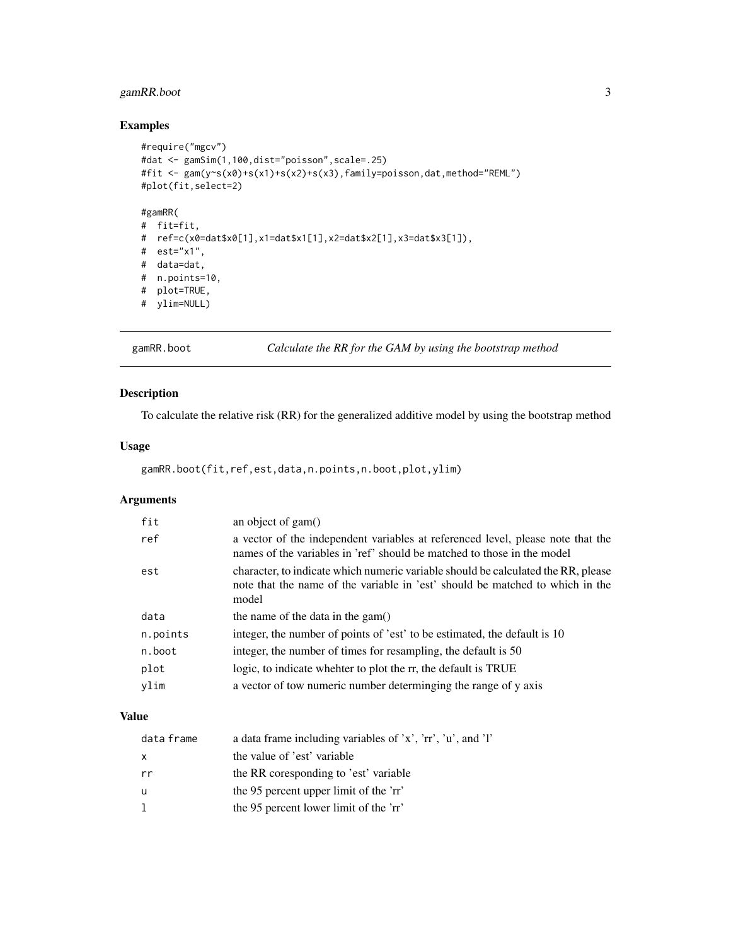#### <span id="page-2-0"></span>gamRR.boot 3

#### Examples

```
#require("mgcv")
#dat <- gamSim(1,100,dist="poisson",scale=.25)
#fit <- gam(y~s(x0)+s(x1)+s(x2)+s(x3),family=poisson,dat,method="REML")
#plot(fit,select=2)
#gamRR(
# fit=fit,
# ref=c(x0=dat$x0[1],x1=dat$x1[1],x2=dat$x2[1],x3=dat$x3[1]),
# est="x1",
# data=dat,
# n.points=10,
# plot=TRUE,
# ylim=NULL)
```
<span id="page-2-1"></span>gamRR.boot *Calculate the RR for the GAM by using the bootstrap method*

#### Description

To calculate the relative risk (RR) for the generalized additive model by using the bootstrap method

#### Usage

gamRR.boot(fit,ref,est,data,n.points,n.boot,plot,ylim)

#### Arguments

| fit      | an object of gam()                                                                                                                                                          |
|----------|-----------------------------------------------------------------------------------------------------------------------------------------------------------------------------|
| ref      | a vector of the independent variables at referenced level, please note that the<br>names of the variables in 'ref' should be matched to those in the model                  |
| est      | character, to indicate which numeric variable should be calculated the RR, please<br>note that the name of the variable in 'est' should be matched to which in the<br>model |
| data     | the name of the data in the gam $()$                                                                                                                                        |
| n.points | integer, the number of points of 'est' to be estimated, the default is 10                                                                                                   |
| n.boot   | integer, the number of times for resampling, the default is 50                                                                                                              |
| plot     | logic, to indicate whehter to plot the rr, the default is TRUE                                                                                                              |
| ylim     | a vector of tow numeric number determinging the range of y axis                                                                                                             |

#### Value

| data frame   | a data frame including variables of 'x', 'rr', 'u', and 'l' |
|--------------|-------------------------------------------------------------|
| $\mathsf{x}$ | the value of 'est' variable                                 |
| rr           | the RR coresponding to 'est' variable                       |
| u            | the 95 percent upper limit of the 'rr'                      |
| -1           | the 95 percent lower limit of the 'rr'                      |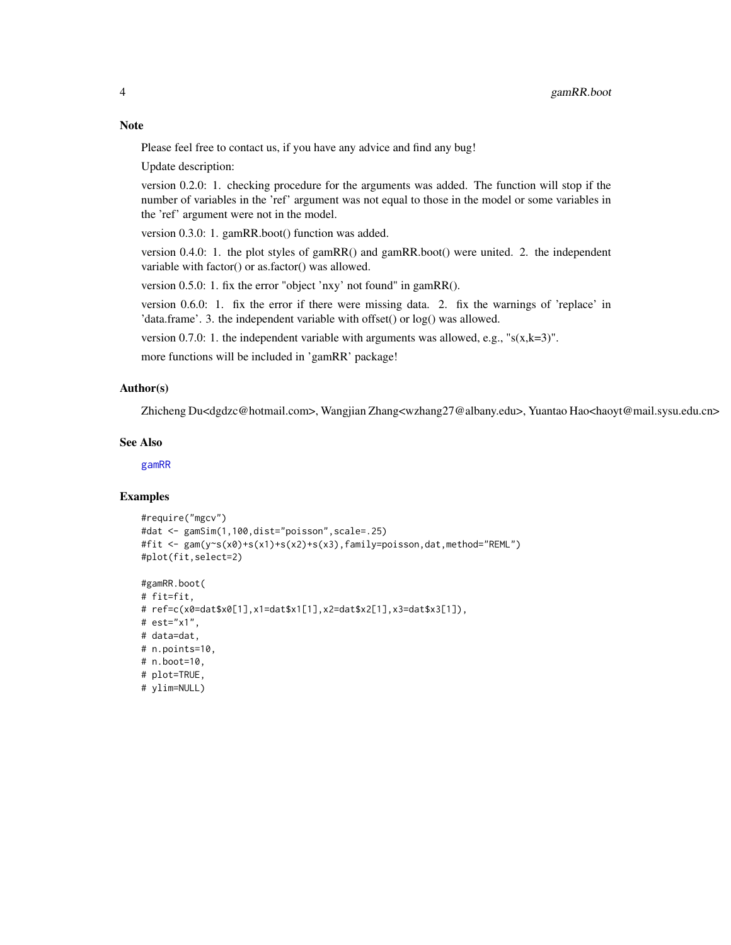#### <span id="page-3-0"></span>**Note**

Please feel free to contact us, if you have any advice and find any bug!

Update description:

version 0.2.0: 1. checking procedure for the arguments was added. The function will stop if the number of variables in the 'ref' argument was not equal to those in the model or some variables in the 'ref' argument were not in the model.

version 0.3.0: 1. gamRR.boot() function was added.

version 0.4.0: 1. the plot styles of gamRR() and gamRR.boot() were united. 2. the independent variable with factor() or as.factor() was allowed.

version 0.5.0: 1. fix the error "object 'nxy' not found" in gamRR().

version 0.6.0: 1. fix the error if there were missing data. 2. fix the warnings of 'replace' in 'data.frame'. 3. the independent variable with offset() or log() was allowed.

version 0.7.0: 1. the independent variable with arguments was allowed, e.g., " $s(x,k=3)$ ".

more functions will be included in 'gamRR' package!

#### Author(s)

Zhicheng Du<dgdzc@hotmail.com>, Wangjian Zhang<wzhang27@albany.edu>, Yuantao Hao<haoyt@mail.sysu.edu.cn>

#### See Also

[gamRR](#page-0-1)

#### Examples

```
#require("mgcv")
#dat <- gamSim(1,100,dist="poisson",scale=.25)
#fit <- gam(y~s(x0)+s(x1)+s(x2)+s(x3),family=poisson,dat,method="REML")
#plot(fit,select=2)
```

```
#gamRR.boot(
# fit=fit,
# ref=c(x0=dat$x0[1],x1=dat$x1[1],x2=dat$x2[1],x3=dat$x3[1]),
# est="x1",
# data=dat,
# n.points=10,
# n.boot=10,
# plot=TRUE,
# ylim=NULL)
```